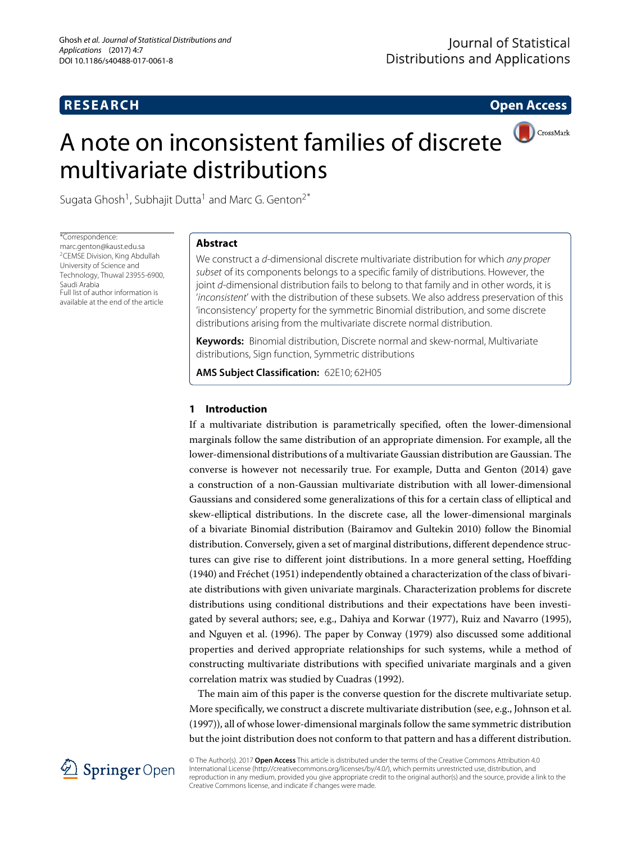# **RESEARCH Open Access**

# A note on inconsistent families of discrete multivariate distributions



Sugata Ghosh<sup>1</sup>, Subhajit Dutta<sup>1</sup> and Marc G. Genton<sup>2\*</sup>

\*Correspondence: [marc.genton@kaust.edu.sa](mailto: marc.genton@kaust.edu.sa) 2CEMSE Division, King Abdullah University of Science and Technology, Thuwal 23955-6900, Saudi Arabia Full list of author information is available at the end of the article

# **Abstract**

We construct a d-dimensional discrete multivariate distribution for which any proper subset of its components belongs to a specific family of distributions. However, the joint d-dimensional distribution fails to belong to that family and in other words, it is 'inconsistent' with the distribution of these subsets. We also address preservation of this 'inconsistency' property for the symmetric Binomial distribution, and some discrete distributions arising from the multivariate discrete normal distribution.

**Keywords:** Binomial distribution, Discrete normal and skew-normal, Multivariate distributions, Sign function, Symmetric distributions

**AMS Subject Classification:** 62E10; 62H05

## **1 Introduction**

If a multivariate distribution is parametrically specified, often the lower-dimensional marginals follow the same distribution of an appropriate dimension. For example, all the lower-dimensional distributions of a multivariate Gaussian distribution are Gaussian. The converse is however not necessarily true. For example, Dutta and Genton [\(2014\)](#page-12-0) gave a construction of a non-Gaussian multivariate distribution with all lower-dimensional Gaussians and considered some generalizations of this for a certain class of elliptical and skew-elliptical distributions. In the discrete case, all the lower-dimensional marginals of a bivariate Binomial distribution (Bairamov and Gultekin [2010\)](#page-12-1) follow the Binomial distribution. Conversely, given a set of marginal distributions, different dependence structures can give rise to different joint distributions. In a more general setting, Hoeffding [\(1940\)](#page-12-2) and Fréchet [\(1951\)](#page-12-3) independently obtained a characterization of the class of bivariate distributions with given univariate marginals. Characterization problems for discrete distributions using conditional distributions and their expectations have been investigated by several authors; see, e.g., Dahiya and Korwar [\(1977\)](#page-12-4), Ruiz and Navarro [\(1995\)](#page-12-5), and Nguyen et al. [\(1996\)](#page-12-6). The paper by Conway [\(1979\)](#page-12-7) also discussed some additional properties and derived appropriate relationships for such systems, while a method of constructing multivariate distributions with specified univariate marginals and a given correlation matrix was studied by Cuadras [\(1992\)](#page-12-8).

The main aim of this paper is the converse question for the discrete multivariate setup. More specifically, we construct a discrete multivariate distribution (see, e.g., Johnson et al. [\(1997\)](#page-12-9)), all of whose lower-dimensional marginals follow the same symmetric distribution but the joint distribution does not conform to that pattern and has a different distribution.



© The Author(s). 2017 **Open Access** This article is distributed under the terms of the Creative Commons Attribution 4.0 International License [\(http://creativecommons.org/licenses/by/4.0/\)](http://creativecommons.org/licenses/by/4.0/), which permits unrestricted use, distribution, and reproduction in any medium, provided you give appropriate credit to the original author(s) and the source, provide a link to the Creative Commons license, and indicate if changes were made.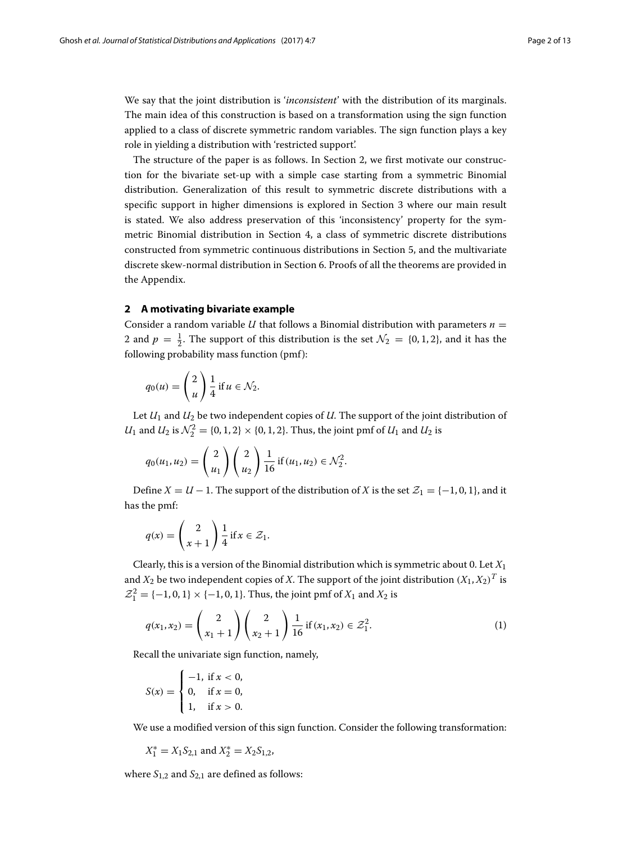We say that the joint distribution is '*inconsistent*' with the distribution of its marginals. The main idea of this construction is based on a transformation using the sign function applied to a class of discrete symmetric random variables. The sign function plays a key role in yielding a distribution with 'restricted support'.

The structure of the paper is as follows. In Section [2,](#page-1-0) we first motivate our construction for the bivariate set-up with a simple case starting from a symmetric Binomial distribution. Generalization of this result to symmetric discrete distributions with a specific support in higher dimensions is explored in Section [3](#page-3-0) where our main result is stated. We also address preservation of this 'inconsistency' property for the symmetric Binomial distribution in Section [4,](#page-4-0) a class of symmetric discrete distributions constructed from symmetric continuous distributions in Section [5,](#page-5-0) and the multivariate discrete skew-normal distribution in Section [6.](#page-5-1) Proofs of all the theorems are provided in the [Appendix.](#page-6-0)

### <span id="page-1-0"></span>**2 A motivating bivariate example**

Consider a random variable *U* that follows a Binomial distribution with parameters  $n =$ 2 and  $p = \frac{1}{2}$ . The support of this distribution is the set  $\mathcal{N}_2 = \{0, 1, 2\}$ , and it has the following probability mass function (pmf):

$$
q_0(u) = \left(\begin{array}{c} 2 \\ u \end{array}\right) \frac{1}{4} \text{ if } u \in \mathcal{N}_2.
$$

Let *U*<sup>1</sup> and *U*<sup>2</sup> be two independent copies of *U*. The support of the joint distribution of *U*<sub>1</sub> and *U*<sub>2</sub> is  $\mathcal{N}_2^2 = \{0, 1, 2\} \times \{0, 1, 2\}$ . Thus, the joint pmf of *U*<sub>1</sub> and *U*<sub>2</sub> is

$$
q_0(u_1, u_2) = \binom{2}{u_1} \binom{2}{u_2} \frac{1}{16} \text{ if } (u_1, u_2) \in \mathcal{N}_2^2.
$$

Define  $X = U - 1$ . The support of the distribution of *X* is the set  $\mathcal{Z}_1 = \{-1, 0, 1\}$ , and it has the pmf:

$$
q(x) = \left(\begin{array}{c} 2 \\ x+1 \end{array}\right) \frac{1}{4} \text{ if } x \in \mathcal{Z}_1.
$$

Clearly, this is a version of the Binomial distribution which is symmetric about 0. Let *X*<sup>1</sup> and  $X_2$  be two independent copies of *X*. The support of the joint distribution  $(X_1, X_2)^T$  is  $Z_1^2 = \{-1, 0, 1\} \times \{-1, 0, 1\}$ . Thus, the joint pmf of  $X_1$  and  $X_2$  is

<span id="page-1-1"></span>
$$
q(x_1, x_2) = {2 \choose x_1 + 1} {2 \choose x_2 + 1} \frac{1}{16} \text{ if } (x_1, x_2) \in \mathcal{Z}_1^2.
$$
 (1)

Recall the univariate sign function, namely,

$$
S(x) = \begin{cases} -1, & \text{if } x < 0, \\ 0, & \text{if } x = 0, \\ 1, & \text{if } x > 0. \end{cases}
$$

We use a modified version of this sign function. Consider the following transformation:

$$
X_1^* = X_1 S_{2,1}
$$
 and  $X_2^* = X_2 S_{1,2}$ ,

where  $S_{1,2}$  and  $S_{2,1}$  are defined as follows: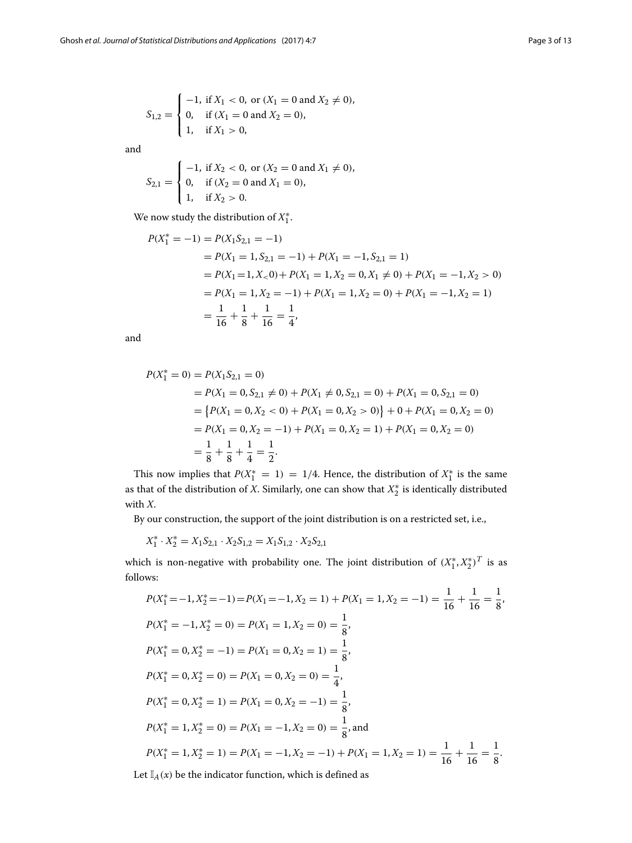$$
S_{1,2} = \begin{cases} -1, & \text{if } X_1 < 0, \text{ or } (X_1 = 0 \text{ and } X_2 \neq 0), \\ 0, & \text{if } (X_1 = 0 \text{ and } X_2 = 0), \\ 1, & \text{if } X_1 > 0, \end{cases}
$$

and

$$
S_{2,1} = \begin{cases} -1, & \text{if } X_2 < 0, \text{ or } (X_2 = 0 \text{ and } X_1 \neq 0), \\ 0, & \text{if } (X_2 = 0 \text{ and } X_1 = 0), \\ 1, & \text{if } X_2 > 0. \end{cases}
$$

We now study the distribution of  $X_1^*$ .

$$
P(X_1^* = -1) = P(X_1S_{2,1} = -1)
$$
  
=  $P(X_1 = 1, S_{2,1} = -1) + P(X_1 = -1, S_{2,1} = 1)$   
=  $P(X_1 = 1, X_2 = 0) + P(X_1 = 1, X_2 = 0, X_1 \neq 0) + P(X_1 = -1, X_2 > 0)$   
=  $P(X_1 = 1, X_2 = -1) + P(X_1 = 1, X_2 = 0) + P(X_1 = -1, X_2 = 1)$   
=  $\frac{1}{16} + \frac{1}{8} + \frac{1}{16} = \frac{1}{4}$ ,

and

$$
P(X_1^* = 0) = P(X_1S_{2,1} = 0)
$$
  
=  $P(X_1 = 0, S_{2,1} \neq 0) + P(X_1 \neq 0, S_{2,1} = 0) + P(X_1 = 0, S_{2,1} = 0)$   
=  $\{P(X_1 = 0, X_2 < 0) + P(X_1 = 0, X_2 > 0)\} + 0 + P(X_1 = 0, X_2 = 0)$   
=  $P(X_1 = 0, X_2 = -1) + P(X_1 = 0, X_2 = 1) + P(X_1 = 0, X_2 = 0)$   
=  $\frac{1}{8} + \frac{1}{8} + \frac{1}{4} = \frac{1}{2}$ .

This now implies that  $P(X_1^* = 1) = 1/4$ . Hence, the distribution of  $X_1^*$  is the same as that of the distribution of *X*. Similarly, one can show that  $X_2^\ast$  is identically distributed with *X*.

By our construction, the support of the joint distribution is on a restricted set, i.e.,

$$
X_1^* \cdot X_2^* = X_1 S_{2,1} \cdot X_2 S_{1,2} = X_1 S_{1,2} \cdot X_2 S_{2,1}
$$

which is non-negative with probability one. The joint distribution of  $(X_1^*, X_2^*)^T$  is as follows:

$$
P(X_1^* = -1, X_2^* = -1) = P(X_1 = -1, X_2 = 1) + P(X_1 = 1, X_2 = -1) = \frac{1}{16} + \frac{1}{16} = \frac{1}{8},
$$
  
\n
$$
P(X_1^* = -1, X_2^* = 0) = P(X_1 = 1, X_2 = 0) = \frac{1}{8},
$$
  
\n
$$
P(X_1^* = 0, X_2^* = -1) = P(X_1 = 0, X_2 = 1) = \frac{1}{8},
$$
  
\n
$$
P(X_1^* = 0, X_2^* = 0) = P(X_1 = 0, X_2 = 0) = \frac{1}{4},
$$
  
\n
$$
P(X_1^* = 0, X_2^* = 1) = P(X_1 = 0, X_2 = -1) = \frac{1}{8},
$$
  
\n
$$
P(X_1^* = 1, X_2^* = 0) = P(X_1 = -1, X_2 = 0) = \frac{1}{8},
$$
and  
\n
$$
P(X_1^* = 1, X_2^* = 1) = P(X_1 = -1, X_2 = -1) + P(X_1 = 1, X_2 = 1) = \frac{1}{16} + \frac{1}{16} = \frac{1}{8}.
$$

Let  $\mathbb{I}_A(x)$  be the indicator function, which is defined as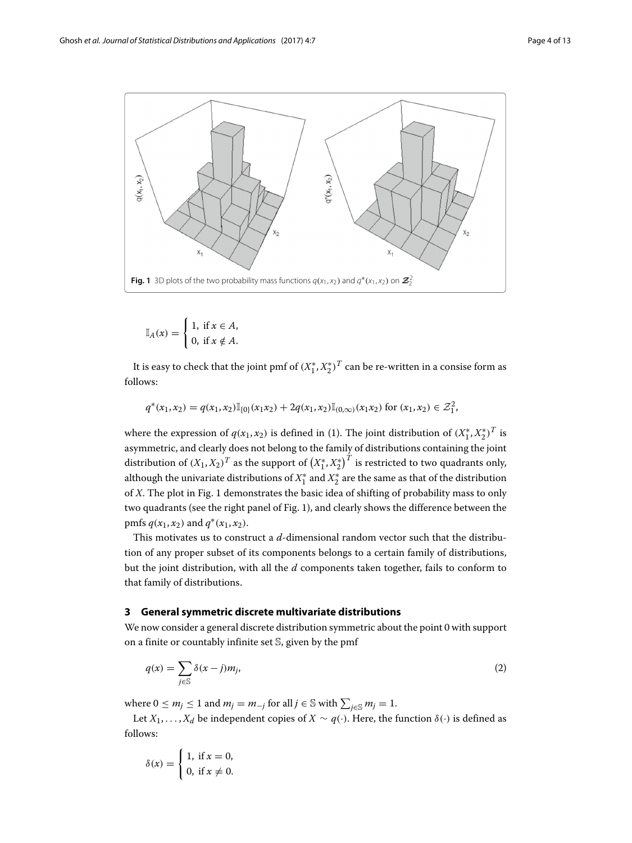

<span id="page-3-1"></span> $\mathbb{I}_A(x) = \begin{cases} 1, & \text{if } x \in A, \\ 0, & \text{if } x \notin A. \end{cases}$ 0, if  $x \notin A$ .

It is easy to check that the joint pmf of  $(X_1^*, X_2^*)^T$  can be re-written in a consise form as follows:

$$
q^*(x_1, x_2) = q(x_1, x_2) \mathbb{I}_{\{0\}}(x_1 x_2) + 2q(x_1, x_2) \mathbb{I}_{(0, \infty)}(x_1 x_2)
$$
 for  $(x_1, x_2) \in \mathcal{Z}_1^2$ ,

where the expression of  $q(x_1, x_2)$  is defined in [\(1\)](#page-1-1). The joint distribution of  $(X_1^*, X_2^*)^T$  is asymmetric, and clearly does not belong to the family of distributions containing the joint distribution of  $(X_1, X_2)^T$  as the support of  $\left(X_1^*, X_2^*\right)^T$  is restricted to two quadrants only, although the univariate distributions of  $X_1^*$  and  $X_2^*$  are the same as that of the distribution of *X*. The plot in Fig. [1](#page-3-1) demonstrates the basic idea of shifting of probability mass to only two quadrants (see the right panel of Fig. [1\)](#page-3-1), and clearly shows the difference between the pmfs  $q(x_1, x_2)$  and  $q^*(x_1, x_2)$ .

This motivates us to construct a *d*-dimensional random vector such that the distribution of any proper subset of its components belongs to a certain family of distributions, but the joint distribution, with all the *d* components taken together, fails to conform to that family of distributions.

## <span id="page-3-0"></span>**3 General symmetric discrete multivariate distributions**

We now consider a general discrete distribution symmetric about the point 0 with support on a finite or countably infinite set S, given by the pmf

<span id="page-3-2"></span>
$$
q(x) = \sum_{j \in \mathbb{S}} \delta(x - j)m_j,
$$
 (2)

where  $0 \le m_j \le 1$  and  $m_j = m_{-j}$  for all  $j \in \mathbb{S}$  with  $\sum_{j \in \mathbb{S}} m_j = 1$ .

Let  $X_1, \ldots, X_d$  be independent copies of  $X \sim q(\cdot)$ . Here, the function  $\delta(\cdot)$  is defined as follows:

$$
\delta(x) = \begin{cases} 1, & \text{if } x = 0, \\ 0, & \text{if } x \neq 0. \end{cases}
$$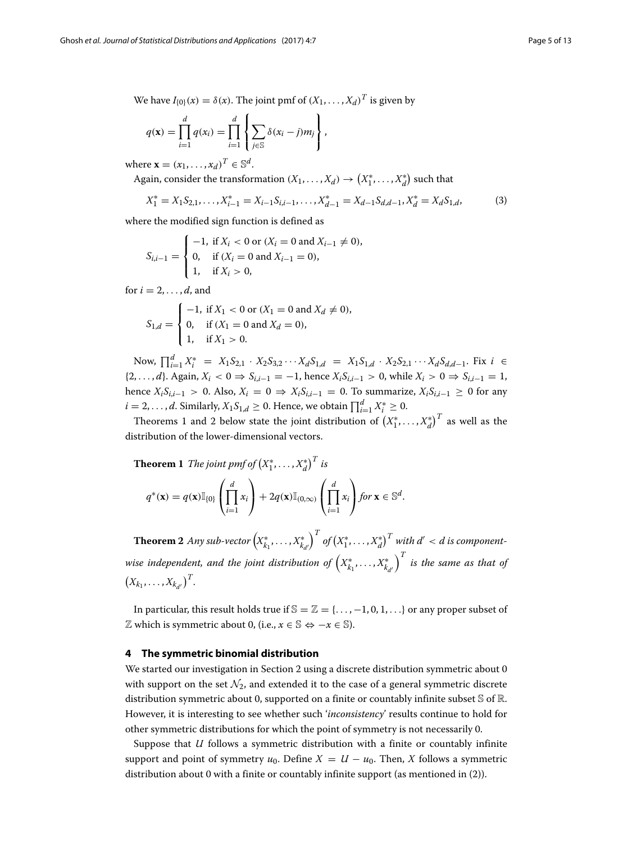$$
q(\mathbf{x}) = \prod_{i=1}^d q(x_i) = \prod_{i=1}^d \left\{ \sum_{j \in \mathbb{S}} \delta(x_i - j)m_j \right\},\,
$$

where  $\mathbf{x} = (x_1, \dots, x_d)^T \in \mathbb{S}^d$ .

Again, consider the transformation  $(X_1, ..., X_d) \rightarrow (X_1^*, ..., X_d^*)$  such that

$$
X_1^* = X_1 S_{2,1}, \dots, X_{i-1}^* = X_{i-1} S_{i,i-1}, \dots, X_{d-1}^* = X_{d-1} S_{d,d-1}, X_d^* = X_d S_{1,d},
$$
(3)

where the modified sign function is defined as

$$
S_{i,i-1} = \begin{cases} -1, & \text{if } X_i < 0 \text{ or } (X_i = 0 \text{ and } X_{i-1} \neq 0), \\ 0, & \text{if } (X_i = 0 \text{ and } X_{i-1} = 0), \\ 1, & \text{if } X_i > 0, \end{cases}
$$

for  $i = 2, \ldots, d$ , and

$$
S_{1,d} = \begin{cases} -1, & \text{if } X_1 < 0 \text{ or } (X_1 = 0 \text{ and } X_d \neq 0), \\ 0, & \text{if } (X_1 = 0 \text{ and } X_d = 0), \\ 1, & \text{if } X_1 > 0. \end{cases}
$$

Now,  $\prod_{i=1}^{d} X_i^* = X_1 S_{2,1} \cdot X_2 S_{3,2} \cdot \cdot \cdot X_d S_{1,d} = X_1 S_{1,d} \cdot X_2 S_{2,1} \cdot \cdot \cdot X_d S_{d,d-1}.$  Fix *i* ∈ {2,...,*d*}. Again,  $X_i$  < 0 ⇒  $S_{i,i-1}$  = −1, hence  $X_i S_{i,i-1}$  > 0, while  $X_i$  > 0 ⇒  $S_{i,i-1}$  = 1, hence  $X_i S_{i,i-1} > 0$ . Also,  $X_i = 0 \Rightarrow X_i S_{i,i-1} = 0$ . To summarize,  $X_i S_{i,i-1} \ge 0$  for any  $i = 2, \ldots, d$ . Similarly,  $X_1 S_{1,d} \geq 0$ . Hence, we obtain  $\prod_{i=1}^{d} X_i^* \geq 0$ .

Theorems [1](#page-4-1) and [2](#page-4-2) below state the joint distribution of  $\left(X_1^*,\ldots,X_d^*\right)^T$  as well as the distribution of the lower-dimensional vectors.

<span id="page-4-1"></span>**Theorem 1** The joint pmf of 
$$
(X_1^*,...,X_d^*)^T
$$
 is  
\n
$$
q^*(\mathbf{x}) = q(\mathbf{x}) \mathbb{I}_{\{0\}} \left( \prod_{i=1}^d x_i \right) + 2q(\mathbf{x}) \mathbb{I}_{(0,\infty)} \left( \prod_{i=1}^d x_i \right) \text{ for } \mathbf{x} \in \mathbb{S}^d.
$$

<span id="page-4-2"></span>Theorem 2 *Any sub-vector*  $\left(X_{k_1}^*, \ldots, X_{k_{d'}}^*\right)$  $\int^T$  of  $\left(X_1^*,\ldots,X_d^*\right)^T$  with  $d' < d$  is componentwise independent, and the joint distribution of  $\left(X^*_{k_1},\ldots,X^*_{k_{d'}}\right)$  $\int^T$  is the same as that of  $(X_{k_1}, \ldots, X_{k_{d'}})^T$ .

In particular, this result holds true if  $\mathbb{S} = \mathbb{Z} = \{\ldots, -1, 0, 1, \ldots\}$  or any proper subset of *Z* which is symmetric about 0, (i.e.,  $x \in \mathbb{S} \Leftrightarrow -x \in \mathbb{S}$ ).

#### <span id="page-4-0"></span>**4 The symmetric binomial distribution**

We started our investigation in Section [2](#page-1-0) using a discrete distribution symmetric about 0 with support on the set  $\mathcal{N}_2$ , and extended it to the case of a general symmetric discrete distribution symmetric about 0, supported on a finite or countably infinite subset S of R. However, it is interesting to see whether such '*inconsistency*' results continue to hold for other symmetric distributions for which the point of symmetry is not necessarily 0.

Suppose that *U* follows a symmetric distribution with a finite or countably infinite support and point of symmetry  $u_0$ . Define  $X = U - u_0$ . Then, X follows a symmetric distribution about 0 with a finite or countably infinite support (as mentioned in [\(2\)](#page-3-2)).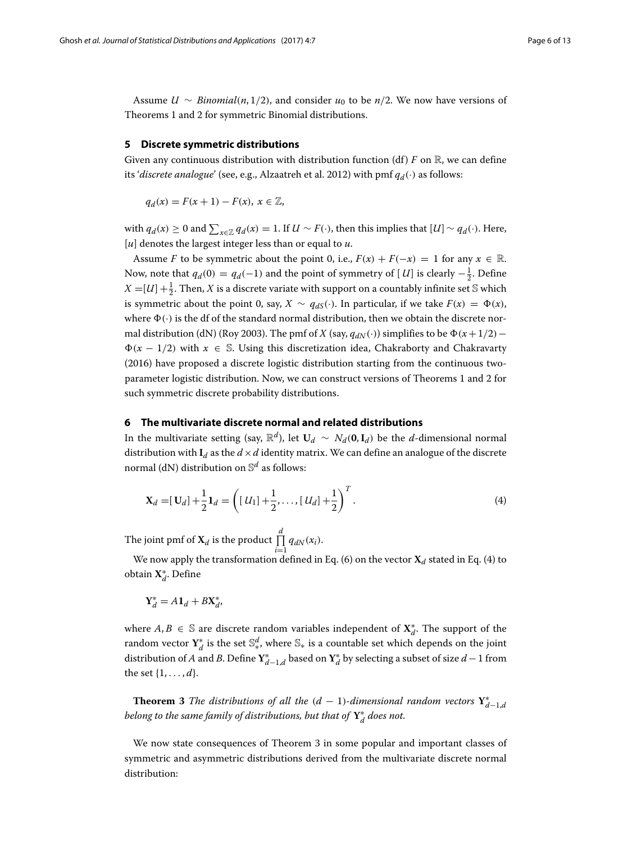Assume  $U \sim Binomial(n, 1/2)$ , and consider  $u_0$  to be  $n/2$ . We now have versions of Theorems [1](#page-4-1) and [2](#page-4-2) for symmetric Binomial distributions.

## <span id="page-5-0"></span>**5 Discrete symmetric distributions**

Given any continuous distribution with distribution function (df)  $F$  on  $\mathbb{R}$ , we can define its '*discrete analogue*' (see, e.g., Alzaatreh et al. [2012\)](#page-12-10) with pmf  $q_d(\cdot)$  as follows:

*q<sub>d</sub>*(*x*) = *F*(*x* + 1) − *F*(*x*), *x* ∈  $\mathbb{Z}$ ,

with  $q_d(x) \ge 0$  and  $\sum_{x \in \mathbb{Z}} q_d(x) = 1$ . If  $U \sim F(\cdot)$ , then this implies that  $[U] \sim q_d(\cdot)$ . Here, [*u*] denotes the largest integer less than or equal to *u*.

Assume *F* to be symmetric about the point 0, i.e.,  $F(x) + F(-x) = 1$  for any  $x \in \mathbb{R}$ . Now, note that  $q_d(0) = q_d(-1)$  and the point of symmetry of  $[U]$  is clearly  $-\frac{1}{2}$ . Define  $X = [U] + \frac{1}{2}$ . Then, *X* is a discrete variate with support on a countably infinite set S which is symmetric about the point 0, say,  $X \sim q_{dS}(\cdot)$ . In particular, if we take  $F(x) = \Phi(x)$ , where  $\Phi(\cdot)$  is the df of the standard normal distribution, then we obtain the discrete nor-mal distribution (dN) (Roy [2003\)](#page-12-11). The pmf of *X* (say,  $q_{dN}(\cdot)$ ) simplifies to be  $\Phi(x+1/2)$ − (*<sup>x</sup>* <sup>−</sup> <sup>1</sup>/2) with *<sup>x</sup>* <sup>∈</sup> <sup>S</sup>. Using this discretization idea, Chakraborty and Chakravarty [\(2016\)](#page-12-12) have proposed a discrete logistic distribution starting from the continuous twoparameter logistic distribution. Now, we can construct versions of Theorems [1](#page-4-1) and [2](#page-4-2) for such symmetric discrete probability distributions.

# <span id="page-5-1"></span>**6 The multivariate discrete normal and related distributions**

In the multivariate setting (say,  $\mathbb{R}^d$ ), let **U***d* ∼ *Nd*(**0**,**I***d*) be the *d*-dimensional normal distribution with  $I_d$  as the  $d \times d$  identity matrix. We can define an analogue of the discrete normal (dN) distribution on S*<sup>d</sup>* as follows:

<span id="page-5-2"></span>
$$
\mathbf{X}_d = [\mathbf{U}_d] + \frac{1}{2} \mathbf{1}_d = \left( [U_1] + \frac{1}{2}, \dots, [U_d] + \frac{1}{2} \right)^T.
$$
 (4)

The joint pmf of  $\mathbf{X}_d$  is the product  $\prod^d q_{dN}(x_i)$ .

We now apply the transformation defined in Eq. [\(6\)](#page-9-0) on the vector  $\mathbf{X}_d$  stated in Eq. [\(4\)](#page-5-2) to obtain **X**∗ *<sup>d</sup>*. Define

$$
\mathbf{Y}_d^* = A \mathbf{1}_d + B \mathbf{X}_d^*,
$$

where  $A, B \in \mathbb{S}$  are discrete random variables independent of  $X^*_{d}$ . The support of the random vector  $\mathbf{Y}_{d}^{*}$  is the set  $\mathbb{S}_{*}^{d}$ , where  $\mathbb{S}_{*}$  is a countable set which depends on the joint distribution of *A* and *B*. Define  $Y^*_{d-1,d}$  based on  $Y^*_d$  by selecting a subset of size  $d-1$  from the set  $\{1, ..., d\}$ .

<span id="page-5-3"></span>**Theorem 3** *The distributions of all the*  $(d-1)$ -dimensional random vectors  $Y^*_{d-1,d}$ *belong to the same family of distributions, but that of* **Y**∗ *<sup>d</sup> does not.*

We now state consequences of Theorem [3](#page-5-3) in some popular and important classes of symmetric and asymmetric distributions derived from the multivariate discrete normal distribution: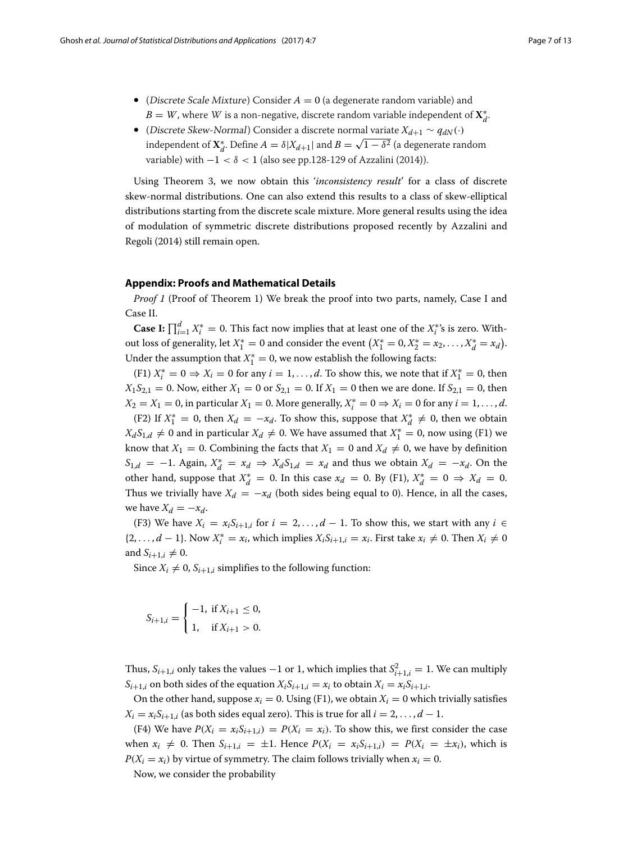- (Discrete Scale Mixture) Consider  $A = 0$  (a degenerate random variable) and  $B=W$ , where  $W$  is a non-negative, discrete random variable independent of  $\mathbf{X}_{d}^{*}.$
- (Discrete Skew-Normal) Consider a discrete normal variate *Xd*+<sup>1</sup> ∼ *qdN* (·) independent of  $X_d^*$ . Define  $A = \delta |X_{d+1}|$  and  $B = \sqrt{1 - \delta^2}$  (a degenerate random variable) with  $-1 < \delta < 1$  (also see pp.128-129 of Azzalini [\(2014\)](#page-12-13)).

Using Theorem [3,](#page-5-3) we now obtain this '*inconsistency result*' for a class of discrete skew-normal distributions. One can also extend this results to a class of skew-elliptical distributions starting from the discrete scale mixture. More general results using the idea of modulation of symmetric discrete distributions proposed recently by Azzalini and Regoli [\(2014\)](#page-12-14) still remain open.

#### **Appendix: Proofs and Mathematical Details**

<span id="page-6-0"></span>*Proof 1* (Proof of Theorem 1) We break the proof into two parts, namely, Case I and Case II.

**Case I:**  $\prod_{i=1}^{d} X_i^* = 0$ . This fact now implies that at least one of the  $X_i^*$ 's is zero. Without loss of generality, let  $X_1^* = 0$  and consider the event  $(X_1^* = 0, X_2^* = x_2, \ldots, X_d^* = x_d)$ . Under the assumption that  $X_1^* = 0$ , we now establish the following facts:

 $(F1) X_i^* = 0 \Rightarrow X_i = 0$  for any  $i = 1, ..., d$ . To show this, we note that if  $X_1^* = 0$ , then  $X_1S_{2,1} = 0$ . Now, either  $X_1 = 0$  or  $S_{2,1} = 0$ . If  $X_1 = 0$  then we are done. If  $S_{2,1} = 0$ , then  $X_2 = X_1 = 0$ , in particular  $X_1 = 0$ . More generally,  $X_i^* = 0 \Rightarrow X_i = 0$  for any  $i = 1, ..., d$ .

(F2) If  $X_1^* = 0$ , then  $X_d = -x_d$ . To show this, suppose that  $X_d^* \neq 0$ , then we obtain *X<sub>d</sub>S*<sub>1,*d*</sub> ≠ 0 and in particular *X<sub>d</sub>* ≠ 0. We have assumed that *X*<sup>\*</sup><sub>1</sub> = 0, now using (F1) we know that  $X_1 = 0$ . Combining the facts that  $X_1 = 0$  and  $X_d \neq 0$ , we have by definition *S*<sub>1,*d*</sub> = −1. Again,  $X_d^* = x_d \Rightarrow X_d S_{1,d} = x_d$  and thus we obtain  $X_d = -x_d$ . On the other hand, suppose that  $X_d^* = 0$ . In this case  $x_d = 0$ . By (F1),  $X_d^* = 0 \Rightarrow X_d = 0$ . Thus we trivially have  $X_d = -x_d$  (both sides being equal to 0). Hence, in all the cases, we have  $X_d = -x_d$ .

(F3) We have  $X_i = x_i S_{i+1,i}$  for  $i = 2, ..., d-1$ . To show this, we start with any  $i \in$ {2, ..., *d* − 1}. Now  $X_i^* = x_i$ , which implies  $X_i S_{i+1,i} = x_i$ . First take  $x_i \neq 0$ . Then  $X_i \neq 0$ and  $S_{i+1,i} \neq 0$ .

Since  $X_i \neq 0$ ,  $S_{i+1,i}$  simplifies to the following function:

$$
S_{i+1,i} = \begin{cases} -1, & \text{if } X_{i+1} \leq 0, \\ 1, & \text{if } X_{i+1} > 0. \end{cases}
$$

Thus,  $S_{i+1,i}$  only takes the values  $-1$  or 1, which implies that  $S_{i+1,i}^2 = 1$ . We can multiply  $S_{i+1,i}$  on both sides of the equation  $X_iS_{i+1,i} = x_i$  to obtain  $X_i = x_iS_{i+1,i}$ .

On the other hand, suppose  $x_i = 0$ . Using (F1), we obtain  $X_i = 0$  which trivially satisfies  $X_i = x_i S_{i+1,i}$  (as both sides equal zero). This is true for all  $i = 2, \ldots, d - 1$ .

(F4) We have  $P(X_i = x_i S_{i+1,i}) = P(X_i = x_i)$ . To show this, we first consider the case when  $x_i \neq 0$ . Then  $S_{i+1,i} = \pm 1$ . Hence  $P(X_i = x_i S_{i+1,i}) = P(X_i = \pm x_i)$ , which is  $P(X_i = x_i)$  by virtue of symmetry. The claim follows trivially when  $x_i = 0$ .

Now, we consider the probability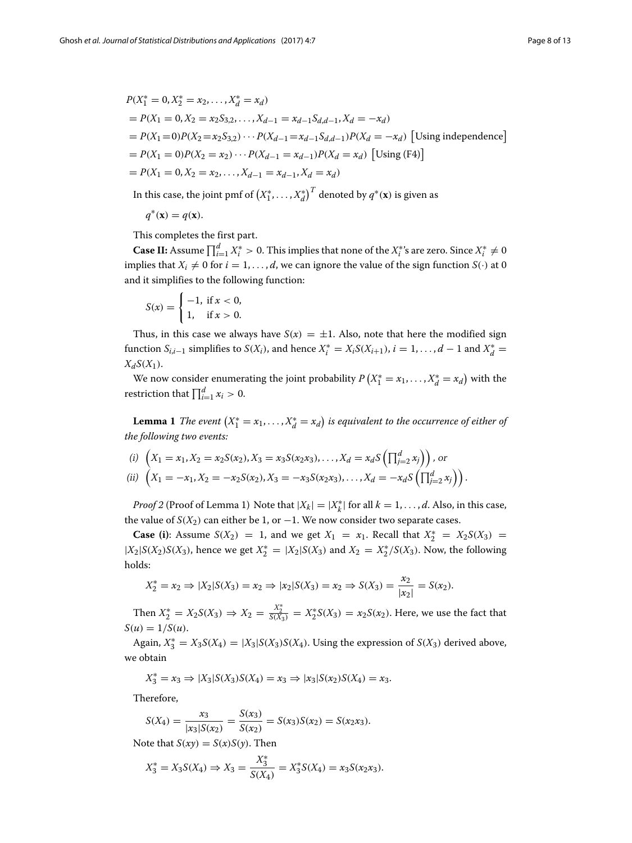$$
P(X_1^* = 0, X_2^* = x_2, ..., X_d^* = x_d)
$$
  
=  $P(X_1 = 0, X_2 = x_2S_{3,2}, ..., X_{d-1} = x_{d-1}S_{d,d-1}, X_d = -x_d)$   
=  $P(X_1 = 0)P(X_2 = x_2S_{3,2}) \cdots P(X_{d-1} = x_{d-1}S_{d,d-1})P(X_d = -x_d)$  [Using independence]  
=  $P(X_1 = 0)P(X_2 = x_2) \cdots P(X_{d-1} = x_{d-1})P(X_d = x_d)$  [Using (F4)]  
=  $P(X_1 = 0, X_2 = x_2, ..., X_{d-1} = x_{d-1}, X_d = x_d)$ 

In this case, the joint pmf of  $\left(X_1^*,\ldots,X_d^*\right)^T$  denoted by  $q^*(\mathbf{x})$  is given as

 $q^*(\mathbf{x}) = q(\mathbf{x}).$ 

This completes the first part.

**Case II:** Assume  $\prod_{i=1}^{d} X_i^* > 0$ . This implies that none of the  $X_i^*$ 's are zero. Since  $X_i^* \neq 0$ implies that  $X_i \neq 0$  for  $i = 1, \ldots, d$ , we can ignore the value of the sign function  $S(\cdot)$  at 0 and it simplifies to the following function:

$$
S(x) = \begin{cases} -1, & \text{if } x < 0, \\ 1, & \text{if } x > 0. \end{cases}
$$

Thus, in this case we always have  $S(x) = \pm 1$ . Also, note that here the modified sign function  $S_{i,i-1}$  simplifies to  $S(X_i)$ , and hence  $X_i^* = X_i S(X_{i+1}), i = 1, ..., d-1$  and  $X_d^* =$  $X_dS(X_1)$ .

We now consider enumerating the joint probability  $P(X_1^* = x_1, ..., X_d^* = x_d)$  with the restriction that  $\prod_{i=1}^{d} x_i > 0$ .

**Lemma 1** *The event*  $(X_1^* = x_1, ..., X_d^* = x_d)$  is equivalent to the occurrence of either of *the following two events:*

(i) 
$$
\left(X_1 = x_1, X_2 = x_2 S(x_2), X_3 = x_3 S(x_2 x_3), \ldots, X_d = x_d S\left(\prod_{j=2}^d x_j\right)\right)
$$
, or

(ii) 
$$
\left(X_1 = -x_1, X_2 = -x_2S(x_2), X_3 = -x_3S(x_2x_3), \ldots, X_d = -x_dS\left(\prod_{j=2}^d x_j\right)\right).
$$

*Proof 2* (Proof of Lemma 1) Note that  $|X_k| = |X_k^*|$  for all  $k = 1, ..., d$ . Also, in this case, the value of *S*( $X_2$ ) can either be 1, or −1. We now consider two separate cases.

**Case (i)**: Assume  $S(X_2) = 1$ , and we get  $X_1 = x_1$ . Recall that  $X_2^* = X_2S(X_3) = 1$  $|X_2|S(X_2)S(X_3)$ , hence we get  $X_2^* = |X_2|S(X_3)$  and  $X_2 = X_2^*/S(X_3)$ . Now, the following holds:

$$
X_2^* = x_2 \Rightarrow |X_2|S(X_3) = x_2 \Rightarrow |x_2|S(X_3) = x_2 \Rightarrow S(X_3) = \frac{x_2}{|x_2|} = S(x_2).
$$

Then  $X_2^* = X_2 S(X_3)$  ⇒  $X_2 = \frac{X_2^*}{S(X_3)} = X_2^* S(X_3) = x_2 S(x_2)$ . Here, we use the fact that  $S(u) = 1/S(u).$ 

Again,  $X_3^* = X_3S(X_4) = |X_3|S(X_3)S(X_4)$ . Using the expression of  $S(X_3)$  derived above, we obtain

$$
X_3^* = x_3 \Rightarrow |X_3|S(X_3)S(X_4) = x_3 \Rightarrow |x_3|S(x_2)S(X_4) = x_3.
$$

Therefore,

$$
S(X_4) = \frac{x_3}{|x_3|S(x_2)} = \frac{S(x_3)}{S(x_2)} = S(x_3)S(x_2) = S(x_2x_3).
$$

Note that  $S(xy) = S(x)S(y)$ . Then

$$
X_3^* = X_3 S(X_4) \Rightarrow X_3 = \frac{X_3^*}{S(X_4)} = X_3^* S(X_4) = x_3 S(x_2 x_3).
$$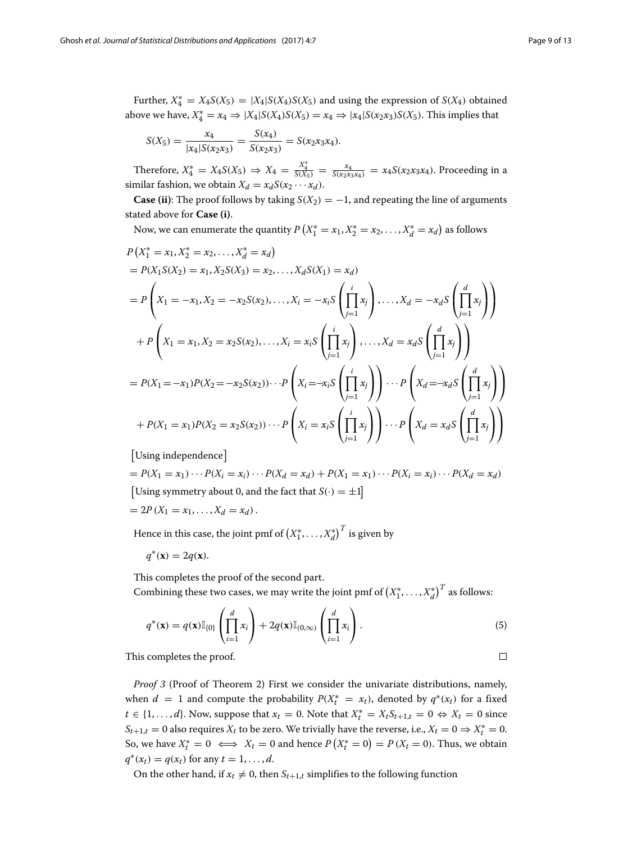<span id="page-8-0"></span> $\Box$ 

Further,  $X_4^* = X_4 S(X_5) = |X_4| S(X_4) S(X_5)$  and using the expression of  $S(X_4)$  obtained above we have,  $X_4^* = x_4 \Rightarrow |X_4|S(X_4)S(X_5) = x_4 \Rightarrow |x_4|S(x_2x_3)S(X_5)$ . This implies that

$$
S(X_5) = \frac{x_4}{|x_4|S(x_2x_3)} = \frac{S(x_4)}{S(x_2x_3)} = S(x_2x_3x_4).
$$

Therefore,  $X_4^* = X_4 S(X_5)$  ⇒  $X_4 = \frac{X_4^*}{S(X_5)} = \frac{x_4}{S(x_2 x_3 x_4)} = x_4 S(x_2 x_3 x_4)$ . Proceeding in a similar fashion, we obtain  $X_d = x_d S(x_2 \cdots x_d)$ .

**Case (ii)**: The proof follows by taking  $S(X_2) = -1$ , and repeating the line of arguments stated above for **Case (i)**.

Now, we can enumerate the quantity  $P(X_1^* = x_1, X_2^* = x_2, \ldots, X_d^* = x_d)$  as follows

$$
P(X_1^* = x_1, X_2^* = x_2, ..., X_d^* = x_d)
$$
  
=  $P(X_1S(X_2) = x_1, X_2S(X_3) = x_2, ..., X_dS(X_1) = x_d)$   
=  $P\left(X_1 = -x_1, X_2 = -x_2S(x_2), ..., X_i = -x_iS\left(\prod_{j=1}^i x_j\right), ..., X_d = -x_dS\left(\prod_{j=1}^d x_j\right)\right)$   
+  $P\left(X_1 = x_1, X_2 = x_2S(x_2), ..., X_i = x_iS\left(\prod_{j=1}^i x_j\right), ..., X_d = x_dS\left(\prod_{j=1}^d x_j\right)\right)$   
=  $P(X_1 = -x_1)P(X_2 = -x_2S(x_2)) \cdots P\left(X_i = -x_iS\left(\prod_{j=1}^i x_j\right)\right) \cdots P\left(X_d = -x_dS\left(\prod_{j=1}^d x_j\right)\right)$   
+  $P(X_1 = x_1)P(X_2 = x_2S(x_2)) \cdots P\left(X_i = x_iS\left(\prod_{j=1}^i x_j\right)\right) \cdots P\left(X_d = x_dS\left(\prod_{j=1}^d x_j\right)\right)$ 

[Using independence]

 $= P(X_1 = x_1) \cdots P(X_i = x_i) \cdots P(X_d = x_d) + P(X_1 = x_1) \cdots P(X_i = x_i) \cdots P(X_d = x_d)$ [Using symmetry about 0, and the fact that  $S(\cdot) = \pm 1$ ]  $= 2P(X_1 = x_1, \ldots, X_d = x_d).$ 

Hence in this case, the joint pmf of  $\left(X_1^*, \ldots, X_d^*\right)^T$  is given by

$$
q^*(\mathbf{x}) = 2q(\mathbf{x}).
$$

This completes the proof of the second part.

Combining these two cases, we may write the joint pmf of  $\left(X_1^*, \ldots, X_d^*\right)^T$  as follows:

$$
q^*(\mathbf{x}) = q(\mathbf{x}) \mathbb{I}_{\{0\}}\left(\prod_{i=1}^d x_i\right) + 2q(\mathbf{x}) \mathbb{I}_{(0,\infty)}\left(\prod_{i=1}^d x_i\right).
$$
\n(5)

This completes the proof.

*Proof 3* (Proof of Theorem 2) First we consider the univariate distributions, namely, when  $d = 1$  and compute the probability  $P(X_t^* = x_t)$ , denoted by  $q^*(x_t)$  for a fixed *t* ∈ {1, ..., *d*}. Now, suppose that  $x_t = 0$ . Note that  $X_t^* = X_t S_{t+1,t} = 0 \Leftrightarrow X_t = 0$  since  $S_{t+1,t} = 0$  also requires  $X_t$  to be zero. We trivially have the reverse, i.e.,  $X_t = 0 \Rightarrow X_t^* = 0$ . So, we have  $X_t^* = 0 \iff X_t = 0$  and hence  $P(X_t^* = 0) = P(X_t = 0)$ . Thus, we obtain  $q^*(x_t) = q(x_t)$  for any  $t = 1, ..., d$ .

On the other hand, if  $x_t \neq 0$ , then  $S_{t+1,t}$  simplifies to the following function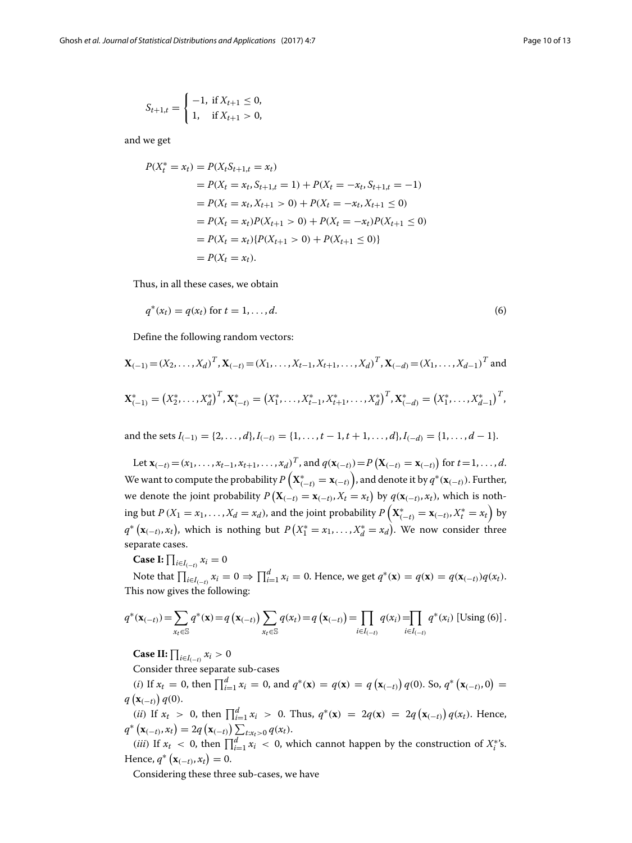$$
S_{t+1,t} = \begin{cases} -1, & \text{if } X_{t+1} \leq 0, \\ 1, & \text{if } X_{t+1} > 0, \end{cases}
$$

and we get

$$
P(X_t^* = x_t) = P(X_t S_{t+1,t} = x_t)
$$
  
=  $P(X_t = x_t, S_{t+1,t} = 1) + P(X_t = -x_t, S_{t+1,t} = -1)$   
=  $P(X_t = x_t, X_{t+1} > 0) + P(X_t = -x_t, X_{t+1} \le 0)$   
=  $P(X_t = x_t)P(X_{t+1} > 0) + P(X_t = -x_t)P(X_{t+1} \le 0)$   
=  $P(X_t = x_t) \{P(X_{t+1} > 0) + P(X_{t+1} \le 0)\}$   
=  $P(X_t = x_t).$ 

Thus, in all these cases, we obtain

<span id="page-9-0"></span>
$$
q^*(x_t) = q(x_t) \text{ for } t = 1, ..., d. \tag{6}
$$

Define the following random vectors:

$$
\mathbf{X}_{(-1)} = (X_2, \dots, X_d)^T, \mathbf{X}_{(-t)} = (X_1, \dots, X_{t-1}, X_{t+1}, \dots, X_d)^T, \mathbf{X}_{(-d)} = (X_1, \dots, X_{d-1})^T \text{ and}
$$
  

$$
\mathbf{X}_{(-1)}^* = (X_2^*, \dots, X_d^*)^T, \mathbf{X}_{(-t)}^* = (X_1^*, \dots, X_{t-1}^*, X_{t+1}^*, \dots, X_d^*)^T, \mathbf{X}_{(-d)}^* = (X_1^*, \dots, X_{d-1}^*)^T,
$$

and the sets  $I_{(-1)} = \{2, \ldots, d\}, I_{(-t)} = \{1, \ldots, t-1, t+1, \ldots, d\}, I_{(-d)} = \{1, \ldots, d-1\}.$ 

Let  $\mathbf{x}_{(-t)} = (x_1, \ldots, x_{t-1}, x_{t+1}, \ldots, x_d)^T$ , and  $q(\mathbf{x}_{(-t)}) = P(\mathbf{X}_{(-t)} = \mathbf{x}_{(-t)})$  for  $t = 1, \ldots, d$ . We want to compute the probability  $P\left(\mathbf{X}^*_{(-t)}=\mathbf{x}_{(-t)}\right)$ , and denote it by  $q^*(\mathbf{x}_{(-t)})$ . Further, we denote the joint probability  $P\left(\mathbf{X}_{(-t)} = \mathbf{x}_{(-t)}, X_t = x_t\right)$  by  $q(\mathbf{x}_{(-t)}, x_t)$ , which is nothing but  $P(X_1 = x_1, ..., X_d = x_d)$ , and the joint probability  $P\left(\mathbf{X}_{(-t)}^* = \mathbf{x}_{(-t)}, X_t^* = x_t\right)$  by  $q^*$  ( $\mathbf{x}_{(-t)}, x_t$ ), which is nothing but  $P(X_1^* = x_1, ..., X_d^* = x_d)$ . We now consider three separate cases.

**Case I:**  $\prod_{i \in I_{(-t)}} x_i = 0$ 

Note that  $\prod_{i\in I_{(-t)}} x_i = 0 \Rightarrow \prod_{i=1}^d x_i = 0$ . Hence, we get  $q^*(\mathbf{x}) = q(\mathbf{x}) = q(\mathbf{x}_{(-t)})q(x_t)$ . This now gives the following:

$$
q^{*}(\mathbf{x}_{(-t)}) = \sum_{x_{t} \in \mathbb{S}} q^{*}(\mathbf{x}) = q(\mathbf{x}_{(-t)}) \sum_{x_{t} \in \mathbb{S}} q(x_{t}) = q(\mathbf{x}_{(-t)}) = \prod_{i \in I_{(-t)}} q(x_{i}) = \prod_{i \in I_{(-t)}} q^{*}(x_{i}) \text{ [Using (6)]}.
$$

**Case II:**  $\prod_{i \in I_{(-t)}} x_i > 0$ 

Consider three separate sub-cases

 $(i)$  If  $x_t = 0$ , then  $\prod_{i=1}^d x_i = 0$ , and  $q^*(\mathbf{x}) = q(\mathbf{x}) = q(\mathbf{x}_{(-t)}) q(0)$ . So,  $q^*(\mathbf{x}_{(-t)}, 0) = 0$  $q\left(\mathbf{x}_{(-t)}\right)q(0).$ 

 $(i)$  If  $x_t > 0$ , then  $\prod_{i=1}^d x_i > 0$ . Thus,  $q^*(\mathbf{x}) = 2q(\mathbf{x}) = 2q(\mathbf{x}_{(-t)})q(x_t)$ . Hence,  $q^*$   $(\mathbf{x}_{(-t)}, x_t) = 2q (\mathbf{x}_{(-t)}) \sum_{t: x_t > 0} q(x_t).$ 

(*iii*) If  $x_t < 0$ , then  $\prod_{i=1}^d x_i < 0$ , which cannot happen by the construction of  $X_i^*$ 's. Hence,  $q^*$  (**x**<sub>(-*t*)</sub>,  $x_t$ ) = 0.

Considering these three sub-cases, we have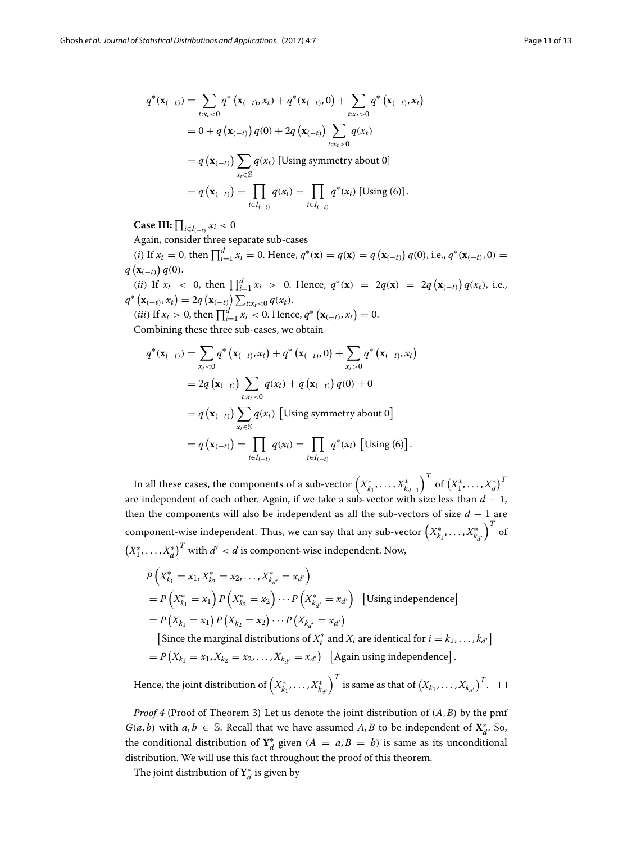$$
q^*(\mathbf{x}_{(-t)}) = \sum_{t: x_t < 0} q^*(\mathbf{x}_{(-t)}, x_t) + q^*(\mathbf{x}_{(-t)}, 0) + \sum_{t: x_t > 0} q^*(\mathbf{x}_{(-t)}, x_t)
$$
  
= 0 + q(\mathbf{x}\_{(-t)}) q(0) + 2q(\mathbf{x}\_{(-t)}) \sum\_{t: x\_t > 0} q(x\_t)  
= q(\mathbf{x}\_{(-t)}) \sum\_{x\_t \in \mathbb{S}} q(x\_t) \text{ [Using symmetry about 0]}  
= q(\mathbf{x}\_{(-t)}) = \prod\_{i \in I\_{(-t)}} q(x\_i) = \prod\_{i \in I\_{(-t)}} q^\*(x\_i) \text{ [Using (6)].}

**Case III:**  $\prod_{i \in I_{(-t)}} x_i < 0$ 

Again, consider three separate sub-cases

 $(i)$  If  $x_t = 0$ , then  $\prod_{i=1}^d x_i = 0$ . Hence,  $q^*(\mathbf{x}) = q(\mathbf{x}) = q(\mathbf{x}_{(-t)}) q(0)$ , i.e.,  $q^*(\mathbf{x}_{(-t)}, 0) =$  $q\left(\mathbf{x}_{(-t)}\right)q(0).$ 

(*ii*) If  $x_t < 0$ , then  $\prod_{i=1}^d x_i > 0$ . Hence,  $q^*(\mathbf{x}) = 2q(\mathbf{x}) = 2q(\mathbf{x}_{(-t)})q(x_t)$ , i.e.,  $q^*$   $(\mathbf{x}_{(-t)}, x_t) = 2q (\mathbf{x}_{(-t)}) \sum_{t: x_t < 0} q(x_t).$ 

 $(iii)$  If  $x_t > 0$ , then  $\prod_{i=1}^d x_i < 0$ . Hence,  $q^* (\mathbf{x}_{(-t)}, x_t) = 0$ . Combining these three sub-cases, we obtain

$$
q^*(\mathbf{x}_{(-t)}) = \sum_{x_t < 0} q^*(\mathbf{x}_{(-t)}, x_t) + q^*(\mathbf{x}_{(-t)}, 0) + \sum_{x_t > 0} q^*(\mathbf{x}_{(-t)}, x_t)
$$
  
=  $2q(\mathbf{x}_{(-t)}) \sum_{t: x_t < 0} q(x_t) + q(\mathbf{x}_{(-t)}) q(0) + 0$   
=  $q(\mathbf{x}_{(-t)}) \sum_{x_t \in \mathbb{S}} q(x_t)$  [Using symmetry about 0]  
=  $q(\mathbf{x}_{(-t)}) = \prod_{i \in I_{(-t)}} q(x_i) = \prod_{i \in I_{(-t)}} q^*(x_i)$  [Using (6)].

In all these cases, the components of a sub-vector  $\left(X_{k_1}^*, \ldots, X_{k_{d-1}}^*\right)$  $\int^T$  of  $(X_1^*, \ldots, X_d^*)^T$ are independent of each other. Again, if we take a sub-vector with size less than  $d - 1$ , then the components will also be independent as all the sub-vectors of size *d* − 1 are component-wise independent. Thus, we can say that any sub-vector  $\left(X^*_{k_1},\ldots,X^*_{k_{d'}}\right)$  $\int_0^T$  of  $\left(X_1^*, \ldots, X_d^*\right)^T$  with  $d' < d$  is component-wise independent. Now,

$$
P(X_{k_1}^* = x_1, X_{k_2}^* = x_2, ..., X_{k_{d'}}^* = x_{d'})
$$
  
=  $P(X_{k_1}^* = x_1) P(X_{k_2}^* = x_2) ... P(X_{k_{d'}}^* = x_{d'})$  [Using independence]  
=  $P(X_{k_1} = x_1) P(X_{k_2} = x_2) ... P(X_{k_{d'}} = x_{d'})$ 

[Since the marginal distributions of  $X_i^*$  and  $X_i$  are identical for  $i = k_1, \ldots, k_{d'}$ ]  $= P\left(X_{k_1} = x_1, X_{k_2} = x_2, \ldots, X_{k_{d'}} = x_{d'}\right)$  [Again using independence].

Hence, the joint distribution of  $\left(X^*_{k_1},\ldots,X^*_{k_{d'}}\right)$  $\int^T$  is same as that of  $\left(X_{k_1}, \ldots, X_{k_{d'}}\right)^T$ .

*Proof 4* (Proof of Theorem 3) Let us denote the joint distribution of (*A*, *B*) by the pmf *G*(*a*, *b*) with *a*, *b* ∈ S. Recall that we have assumed *A*, *B* to be independent of  $X_d^*$ . So, the conditional distribution of  $Y_d^*$  given  $(A = a, B = b)$  is same as its unconditional distribution. We will use this fact throughout the proof of this theorem.

The joint distribution of  $\mathbf{Y}_{d}^{*}$  is given by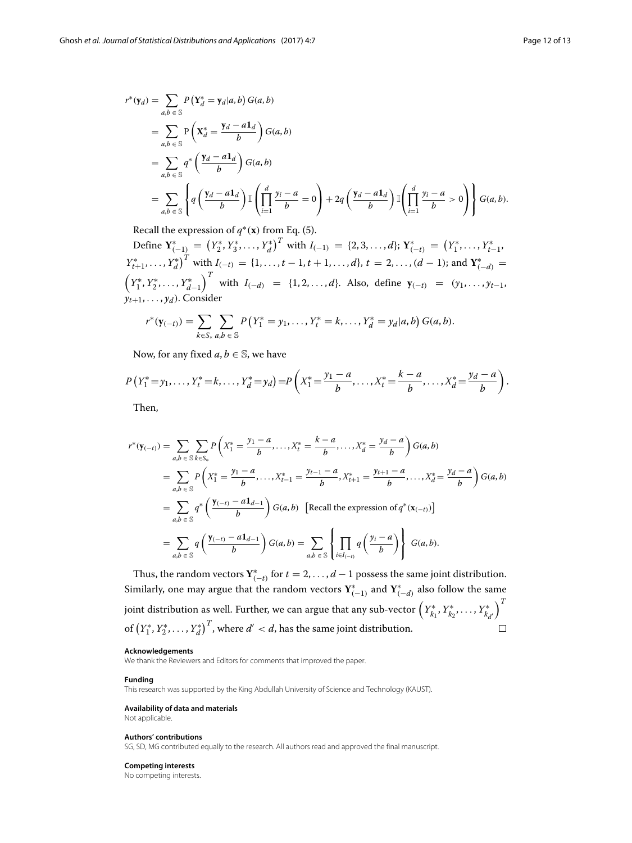$$
r^*(\mathbf{y}_d) = \sum_{a,b \in \mathbb{S}} P(\mathbf{Y}_d^* = \mathbf{y}_d | a, b) G(a, b)
$$
  
= 
$$
\sum_{a,b \in \mathbb{S}} P(\mathbf{X}_d^* = \frac{\mathbf{y}_d - a\mathbf{1}_d}{b}) G(a, b)
$$
  
= 
$$
\sum_{a,b \in \mathbb{S}} q^* (\frac{\mathbf{y}_d - a\mathbf{1}_d}{b}) G(a, b)
$$
  
= 
$$
\sum_{a,b \in \mathbb{S}} \left\{ q (\frac{\mathbf{y}_d - a\mathbf{1}_d}{b}) \mathbb{I} (\prod_{i=1}^d \frac{\mathbf{y}_i - a}{b} = 0) + 2q (\frac{\mathbf{y}_d - a\mathbf{1}_d}{b}) \mathbb{I} (\prod_{i=1}^d \frac{\mathbf{y}_i - a}{b} > 0) \right\} G(a, b).
$$

Recall the expression of  $q^*(\mathbf{x})$  from Eq. [\(5\)](#page-8-0).

Define  $\mathbf{Y}_{(-1)}^* = (Y_2^*, Y_3^*, \dots, Y_d^*)^T$  with  $I_{(-1)} = \{2, 3, \dots, d\}; \mathbf{Y}_{(-t)}^* = (Y_1^*, \dots, Y_{t-1}^*,$  $Y_{t+1}^*, \ldots, Y_d^*$ <sup>*T*</sup> with  $I_{(-t)} = \{1, \ldots, t-1, t+1, \ldots, d\}, t = 2, \ldots, (d-1)$ ; and  $Y_{(-d)}^* =$  $\left(Y_1^*, Y_2^*, \ldots, Y_{d-1}^*\right)$ *T* with *I*<sub>(−*d*)</sub> = {1, 2, ...,*d*}. Also, define  $y$ <sub>(−*t*)</sub> = (*y*<sub>1</sub>, ..., *y*<sub>*t*−1</sub>,  $\overrightarrow{y}_{t+1}, \ldots, \overrightarrow{y}_d$ ). Consider

$$
r^*(\mathbf{y}_{(-t)}) = \sum_{k \in S_*} \sum_{a,b \in \mathbb{S}} P(Y_1^* = y_1, \dots, Y_t^* = k, \dots, Y_d^* = y_d | a, b) G(a, b).
$$

Now, for any fixed  $a, b \in \mathbb{S}$ , we have

$$
P(Y_1^* = y_1, \ldots, Y_t^* = k, \ldots, Y_d^* = y_d) = P\left(X_1^* = \frac{y_1 - a}{b}, \ldots, X_t^* = \frac{k - a}{b}, \ldots, X_d^* = \frac{y_d - a}{b}\right).
$$

Then,

$$
r^{*}(\mathbf{y}_{(-t)}) = \sum_{a,b \in \mathcal{S}} \sum_{k \in S_{*}} P\left(X_{1}^{*} = \frac{y_{1} - a}{b}, \dots, X_{t}^{*} = \frac{k - a}{b}, \dots, X_{d}^{*} = \frac{y_{d} - a}{b}\right) G(a,b)
$$
  
\n
$$
= \sum_{a,b \in \mathcal{S}} P\left(X_{1}^{*} = \frac{y_{1} - a}{b}, \dots, X_{t-1}^{*} = \frac{y_{t-1} - a}{b}, X_{t+1}^{*} = \frac{y_{t+1} - a}{b}, \dots, X_{d}^{*} = \frac{y_{d} - a}{b}\right) G(a,b)
$$
  
\n
$$
= \sum_{a,b \in \mathcal{S}} q^{*} \left(\frac{\mathbf{y}_{(-t)} - a \mathbf{1}_{d-1}}{b}\right) G(a,b) \quad \text{[Recall the expression of } q^{*}(\mathbf{x}_{(-t)})\text{]}
$$
  
\n
$$
= \sum_{a,b \in \mathcal{S}} q \left(\frac{\mathbf{y}_{(-t)} - a \mathbf{1}_{d-1}}{b}\right) G(a,b) = \sum_{a,b \in \mathcal{S}} \left\{\prod_{i \in I_{(-t)}} q \left(\frac{y_{i} - a}{b}\right)\right\} G(a,b).
$$

Thus, the random vectors  $Y^*_{(-t)}$  for  $t = 2, ..., d-1$  possess the same joint distribution. Similarly, one may argue that the random vectors  $\mathbf{Y}^*_{(-1)}$  and  $\mathbf{Y}^*_{(-d)}$  also follow the same  $\big)^T$ joint distribution as well. Further, we can argue that any sub-vector  $\left(Y^*_{k_1}, Y^*_{k_2}, \ldots, Y^*_{k_{d'}}\right)$ of  $(Y_1^*, Y_2^*, \ldots, Y_d^*)^T$ , where  $d' < d$ , has the same joint distribution.  $\Box$ 

#### **Acknowledgements**

We thank the Reviewers and Editors for comments that improved the paper.

#### **Funding**

This research was supported by the King Abdullah University of Science and Technology (KAUST).

#### **Availability of data and materials**

Not applicable.

## **Authors' contributions**

SG, SD, MG contributed equally to the research. All authors read and approved the final manuscript.

#### **Competing interests**

No competing interests.